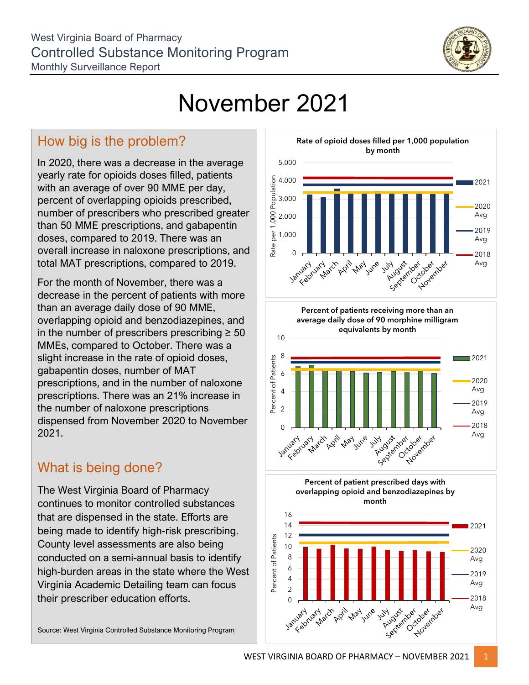

## November 2021

## How big is the problem?

In 2020, there was a decrease in the average yearly rate for opioids doses filled, patients with an average of over 90 MME per day, percent of overlapping opioids prescribed, number of prescribers who prescribed greater than 50 MME prescriptions, and gabapentin doses, compared to 2019. There was an overall increase in naloxone prescriptions, and total MAT prescriptions, compared to 2019.

For the month of November, there was a decrease in the percent of patients with more than an average daily dose of 90 MME, overlapping opioid and benzodiazepines, and in the number of prescribers prescribing  $\geq 50$ MMEs, compared to October. There was a slight increase in the rate of opioid doses, gabapentin doses, number of MAT prescriptions, and in the number of naloxone prescriptions. There was an 21% increase in the number of naloxone prescriptions dispensed from November 2020 to November 2021.

## What is being done?

The West Virginia Board of Pharmacy continues to monitor controlled substances that are dispensed in the state. Efforts are being made to identify high-risk prescribing. County level assessments are also being conducted on a semi-annual basis to identify high-burden areas in the state where the West Virginia Academic Detailing team can focus their prescriber education efforts.

Source: West Virginia Controlled Substance Monitoring Program



**Percent of patients receiving more than an average daily dose of 90 morphine milligram equivalents by month**